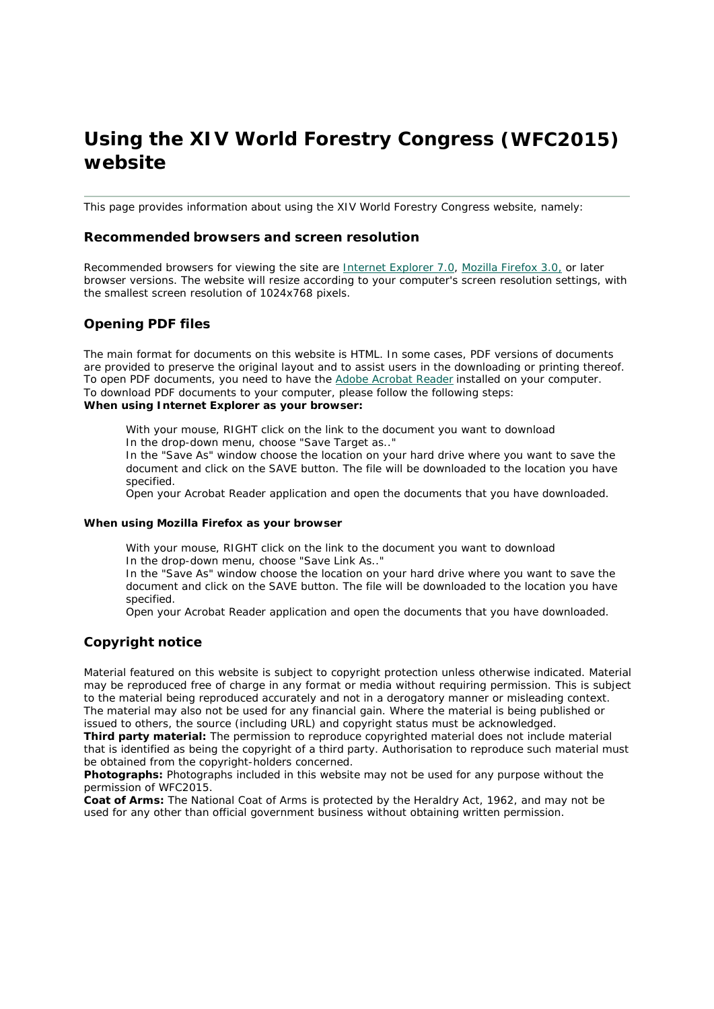# **Using the XIV World Forestry Congress (WFC2015) website**

This page provides information about using the XIV World Forestry Congress website, namely:

### **Recommended browsers and screen resolution**

Recommended browsers for viewing the site are Internet Explorer 7.0, Mozilla Firefox 3.0, or later browser versions. The website will resize according to your computer's screen resolution settings, with the smallest screen resolution of 1024x768 pixels.

# **Opening PDF files**

The main format for documents on this website is HTML. In some cases, PDF versions of documents are provided to preserve the original layout and to assist users in the downloading or printing thereof. To open PDF documents, you need to have the Adobe Acrobat Reader installed on your computer. To download PDF documents to your computer, please follow the following steps: *When using Internet Explorer as your browser:*

With your mouse, RIGHT click on the link to the document you want to download In the drop-down menu, choose "Save Target as.."

In the "Save As" window choose the location on your hard drive where you want to save the document and click on the SAVE button. The file will be downloaded to the location you have specified.

Open your Acrobat Reader application and open the documents that you have downloaded.

#### *When using Mozilla Firefox as your browser*

With your mouse, RIGHT click on the link to the document you want to download In the drop-down menu, choose "Save Link As.."

In the "Save As" window choose the location on your hard drive where you want to save the document and click on the SAVE button. The file will be downloaded to the location you have specified.

Open your Acrobat Reader application and open the documents that you have downloaded.

## **Copyright notice**

Material featured on this website is subject to copyright protection unless otherwise indicated. Material may be reproduced free of charge in any format or media without requiring permission. This is subject to the material being reproduced accurately and not in a derogatory manner or misleading context. The material may also not be used for any financial gain. Where the material is being published or issued to others, the source (including URL) and copyright status must be acknowledged.

**Third party material:** The permission to reproduce copyrighted material does not include material that is identified as being the copyright of a third party. Authorisation to reproduce such material must be obtained from the copyright-holders concerned.

**Photographs:** Photographs included in this website may not be used for any purpose without the permission of WFC2015.

**Coat of Arms:** The National Coat of Arms is protected by the Heraldry Act, 1962, and may not be used for any other than official government business without obtaining written permission.